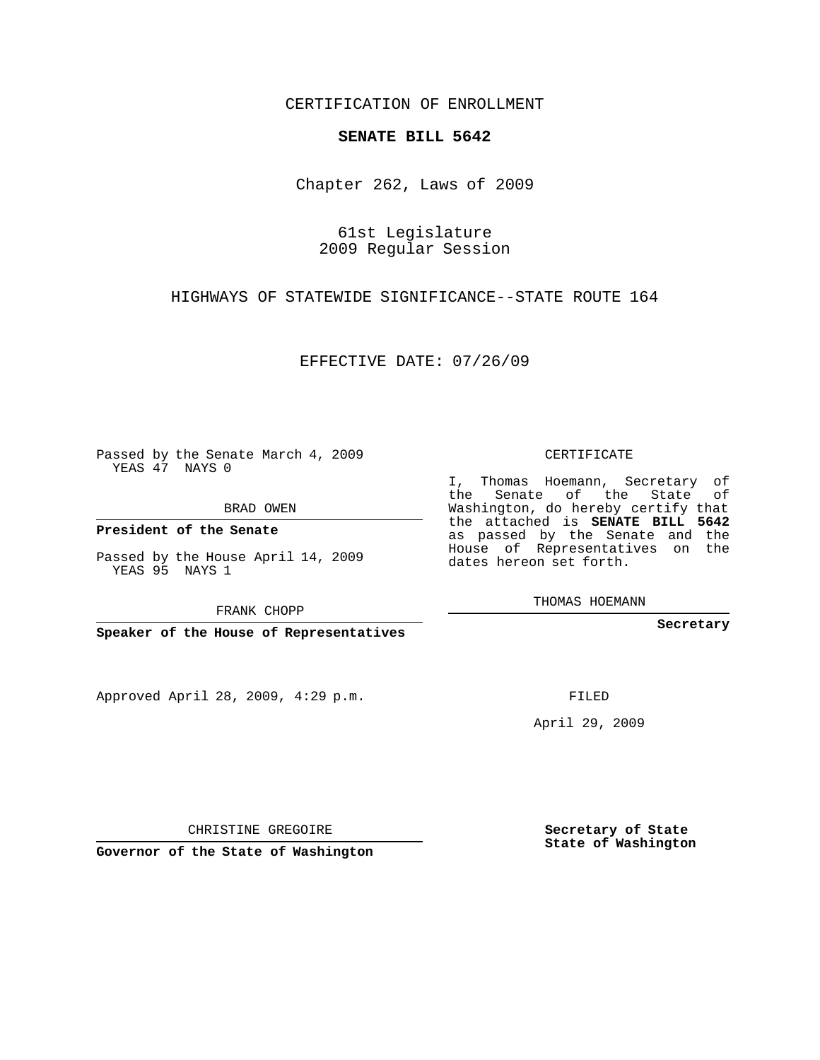CERTIFICATION OF ENROLLMENT

## **SENATE BILL 5642**

Chapter 262, Laws of 2009

61st Legislature 2009 Regular Session

HIGHWAYS OF STATEWIDE SIGNIFICANCE--STATE ROUTE 164

EFFECTIVE DATE: 07/26/09

Passed by the Senate March 4, 2009 YEAS 47 NAYS 0

BRAD OWEN

**President of the Senate**

Passed by the House April 14, 2009 YEAS 95 NAYS 1

FRANK CHOPP

**Speaker of the House of Representatives**

Approved April 28, 2009, 4:29 p.m.

CERTIFICATE

I, Thomas Hoemann, Secretary of the Senate of the State of Washington, do hereby certify that the attached is **SENATE BILL 5642** as passed by the Senate and the House of Representatives on the dates hereon set forth.

THOMAS HOEMANN

**Secretary**

FILED

April 29, 2009

**Secretary of State State of Washington**

CHRISTINE GREGOIRE

**Governor of the State of Washington**